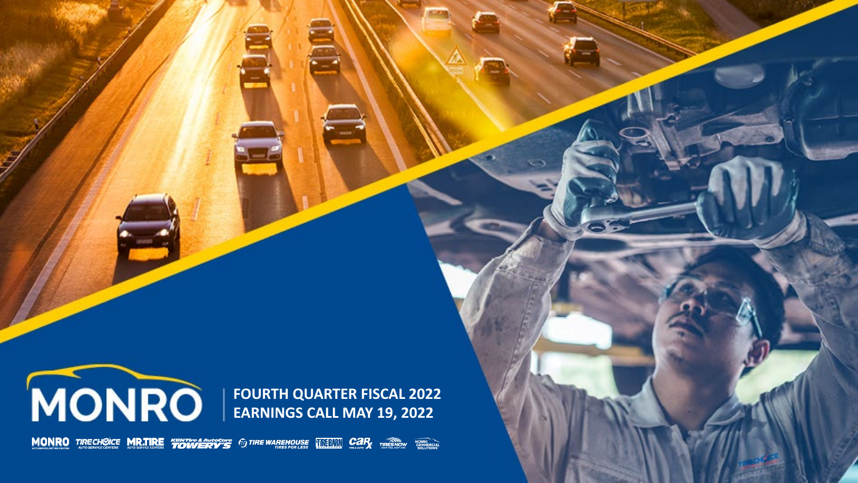

**FOURTH QUARTER FISCAL 2022 EARNINGS CALL MAY 19, 2022**

**MONRO** TIRECHOICE MR.TIRE "FOWLERY" TO TIRE WAREHOUSE THE TIME CAR TIRES NOW THE REAL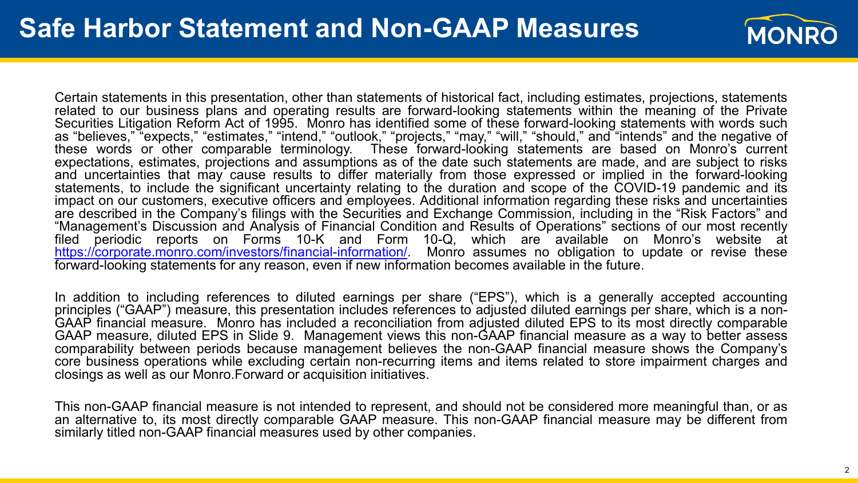

Certain statements in this presentation, other than statements of historical fact, including estimates, projections, statements related to our business plans and operating results are forward-looking statements within the meaning of the Private Securities Litigation Reform Act of 1995. Monro has identified some of these forward-looking statements with words such as "believes," "expects," "estimates," "intend," "outlook," "projects," "may," "will," "should," and "intends" and the negative of these words or other comparable terminology. These forward-looking statements are based on Monro's current expectations, estimates, projections and assumptions as of the date such statements are made, and are subject to risks and uncertainties that may cause results to differ materially from those expressed or implied in the forward-looking statements, to include the significant uncertainty relating to the duration and scope of the COVID-19 pandemic and its impact on our customers, executive officers and employees. Additional information regarding these risks and uncertainties are described in the Company's filings with the Securities and Exchange Commission, including in the "Risk Factors" and "Management's Discussion and Analysis of Financial Condition and Results of Operations" sections of our most recently filed periodic reports on Forms 10-K and Form 10-Q, which are available on Monro's website at [https://corporate.monro.com/investors/financial-information/.](https://corporate.monro.com/investors/financial-information/) Monro assumes no obligation to update or revise these forward-looking statements for any reason, even if new information becomes available in the future.

In addition to including references to diluted earnings per share ("EPS"), which is a generally accepted accounting principles ("GAAP") measure, this presentation includes references to adjusted diluted earnings per share, which is a non-<br>GAAP financial measure. Monro has included a reconciliation from adjusted diluted EPS to its most d GAAP measure, diluted EPS in Slide 9. Management views this non-GAAP financial measure as a way to better assess comparability between periods because management believes the non-GAAP financial measure shows the Company's core business operations while excluding certain non-recurring items and items related to store impairment charges and closings as well as our Monro.Forward or acquisition initiatives.

This non-GAAP financial measure is not intended to represent, and should not be considered more meaningful than, or as an alternative to, its most directly comparable GAAP measure. This non-GAAP financial measure may be different from similarly titled non-GAAP financial measures used by other companies.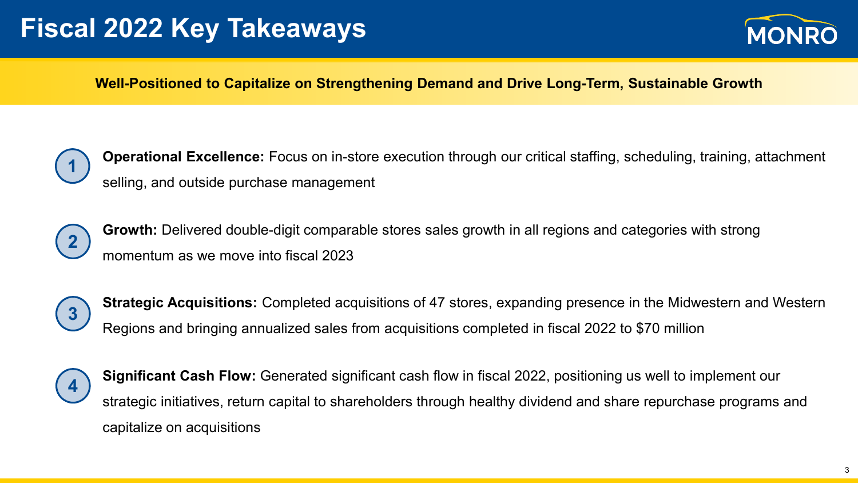# **Fiscal 2022 Key Takeaways**



#### **Well-Positioned to Capitalize on Strengthening Demand and Drive Long-Term, Sustainable Growth**



**Operational Excellence:** Focus on in-store execution through our critical staffing, scheduling, training, attachment selling, and outside purchase management



**Growth:** Delivered double-digit comparable stores sales growth in all regions and categories with strong momentum as we move into fiscal 2023



**Strategic Acquisitions:** Completed acquisitions of 47 stores, expanding presence in the Midwestern and Western Regions and bringing annualized sales from acquisitions completed in fiscal 2022 to \$70 million



**Significant Cash Flow:** Generated significant cash flow in fiscal 2022, positioning us well to implement our strategic initiatives, return capital to shareholders through healthy dividend and share repurchase programs and capitalize on acquisitions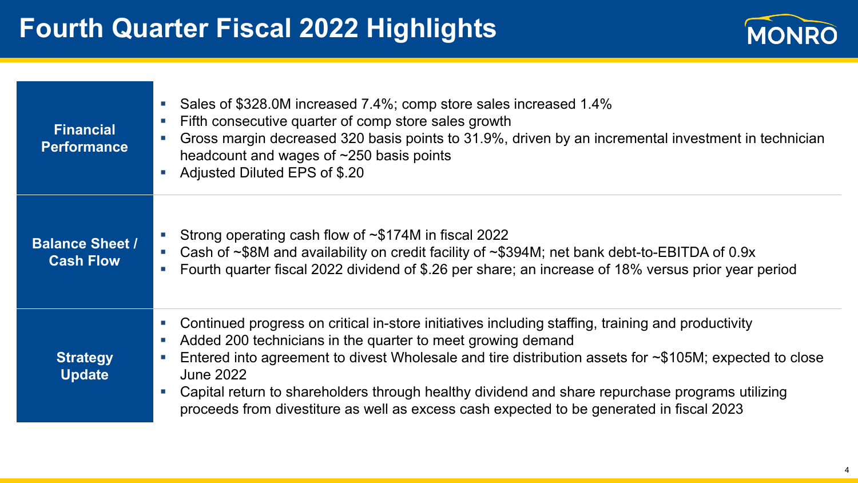

| <b>Financial</b><br><b>Performance</b>     | Sales of \$328.0M increased 7.4%; comp store sales increased 1.4%<br>$\sim$<br>Fifth consecutive quarter of comp store sales growth<br>$\Box$<br>Gross margin decreased 320 basis points to 31.9%, driven by an incremental investment in technician<br>$\mathcal{L}_{\mathcal{A}}$<br>headcount and wages of $\sim$ 250 basis points<br>Adjusted Diluted EPS of \$.20                                                                                                                                                                                                                                            |
|--------------------------------------------|-------------------------------------------------------------------------------------------------------------------------------------------------------------------------------------------------------------------------------------------------------------------------------------------------------------------------------------------------------------------------------------------------------------------------------------------------------------------------------------------------------------------------------------------------------------------------------------------------------------------|
| <b>Balance Sheet /</b><br><b>Cash Flow</b> | Strong operating cash flow of $\sim$ \$174M in fiscal 2022<br>$\mathcal{L}_{\rm{eff}}$<br>Cash of ~\$8M and availability on credit facility of ~\$394M; net bank debt-to-EBITDA of 0.9x<br>$\mathcal{L}_{\mathcal{A}}$<br>Fourth quarter fiscal 2022 dividend of \$.26 per share; an increase of 18% versus prior year period<br>$\mathcal{L}_{\mathcal{A}}$                                                                                                                                                                                                                                                      |
| <b>Strategy</b><br><b>Update</b>           | Continued progress on critical in-store initiatives including staffing, training and productivity<br>$\mathcal{C}$<br>Added 200 technicians in the quarter to meet growing demand<br>$\mathcal{L}_{\mathcal{A}}$<br>Entered into agreement to divest Wholesale and tire distribution assets for $\sim$ \$105M; expected to close<br>$\mathcal{L}_{\mathcal{A}}$<br><b>June 2022</b><br>Capital return to shareholders through healthy dividend and share repurchase programs utilizing<br>$\mathcal{L}_{\mathcal{A}}$<br>proceeds from divestiture as well as excess cash expected to be generated in fiscal 2023 |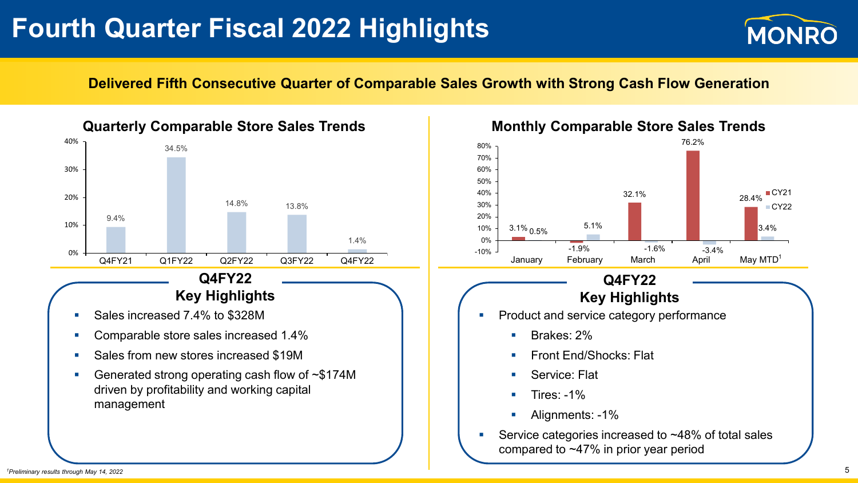# **Fourth Quarter Fiscal 2022 Highlights**



#### **Delivered Fifth Consecutive Quarter of Comparable Sales Growth with Strong Cash Flow Generation**





#### **Q4FY22 Key Highlights**

- Product and service category performance
	- Brakes: 2%
	- **Front End/Shocks: Flat**
	- Service: Flat
	- Tires: -1%
	- **Alignments: -1%**
- Service categories increased to ~48% of total sales compared to ~47% in prior year period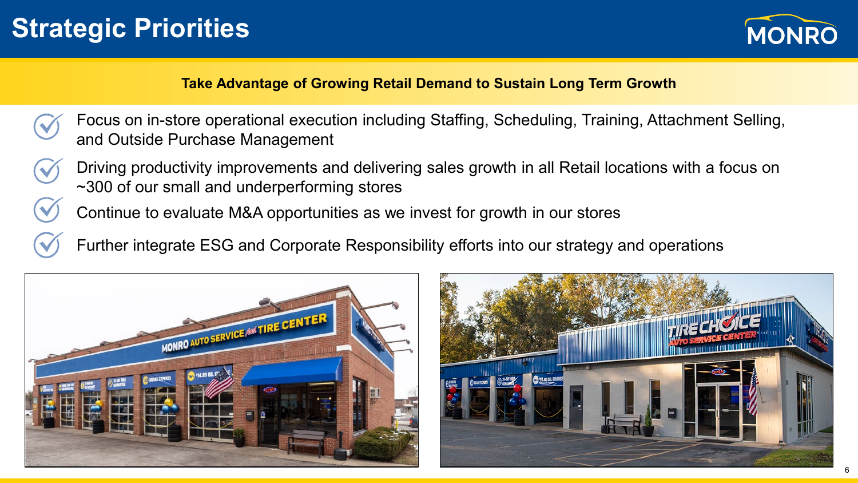# **Strategic Priorities**



### **Take Advantage of Growing Retail Demand to Sustain Long Term Growth**

- Focus on in-store operational execution including Staffing, Scheduling, Training, Attachment Selling, and Outside Purchase Management
- Driving productivity improvements and delivering sales growth in all Retail locations with a focus on ~300 of our small and underperforming stores
- Continue to evaluate M&A opportunities as we invest for growth in our stores
- Further integrate ESG and Corporate Responsibility efforts into our strategy and operations



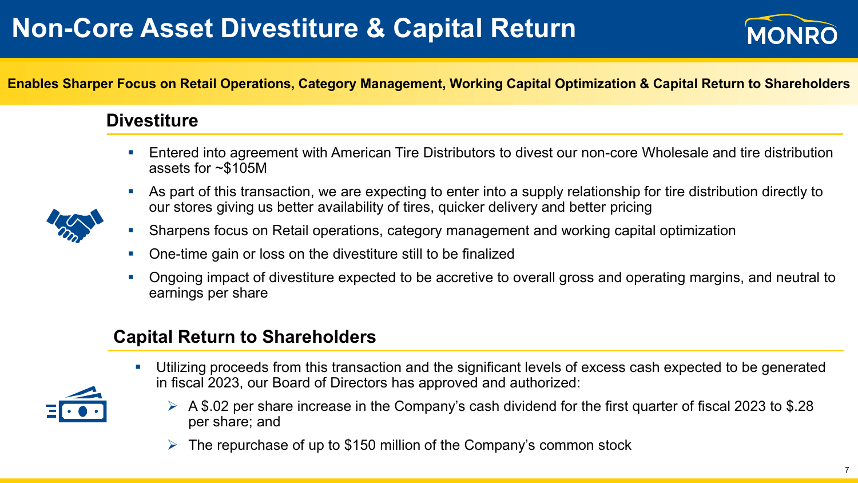# **Non-Core Asset Divestiture & Capital Return**



#### **Enables Sharper Focus on Retail Operations, Category Management, Working Capital Optimization & Capital Return to Shareholders**

## **Divestiture**

- Entered into agreement with American Tire Distributors to divest our non-core Wholesale and tire distribution assets for ~\$105M
- As part of this transaction, we are expecting to enter into a supply relationship for tire distribution directly to our stores giving us better availability of tires, quicker delivery and better pricing



- One-time gain or loss on the divestiture still to be finalized
- Ongoing impact of divestiture expected to be accretive to overall gross and operating margins, and neutral to earnings per share

## **Capital Return to Shareholders**

- Utilizing proceeds from this transaction and the significant levels of excess cash expected to be generated in fiscal 2023, our Board of Directors has approved and authorized:
	- $\triangleright$  A \$.02 per share increase in the Company's cash dividend for the first quarter of fiscal 2023 to \$.28 per share; and
	- The repurchase of up to \$150 million of the Company's common stock



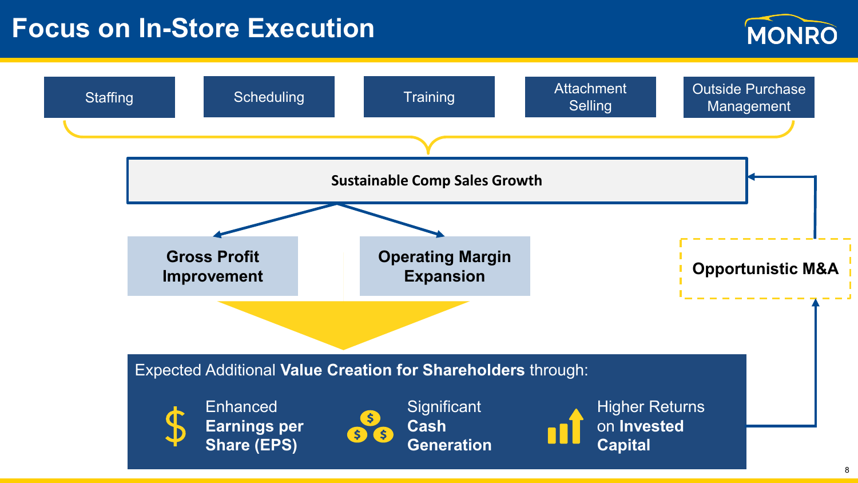## **Focus on In-Store Execution**



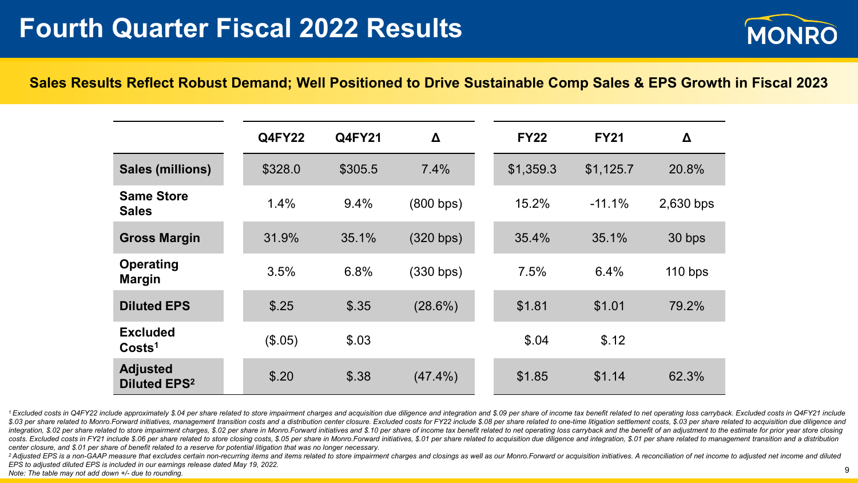

#### **Sales Results Reflect Robust Demand; Well Positioned to Drive Sustainable Comp Sales & EPS Growth in Fiscal 2023**

|                                                   | <b>Q4FY22</b> | <b>Q4FY21</b> | Δ          | <b>FY22</b> | <b>FY21</b> | Δ         |
|---------------------------------------------------|---------------|---------------|------------|-------------|-------------|-----------|
| <b>Sales (millions)</b>                           | \$328.0       | \$305.5       | 7.4%       | \$1,359.3   | \$1,125.7   | 20.8%     |
| <b>Same Store</b><br><b>Sales</b>                 | 1.4%          | 9.4%          | (800 bps)  | 15.2%       | $-11.1%$    | 2,630 bps |
| <b>Gross Margin</b>                               | 31.9%         | 35.1%         | (320 bps)  | 35.4%       | 35.1%       | 30 bps    |
| <b>Operating</b><br><b>Margin</b>                 | 3.5%          | 6.8%          | (330 bps)  | 7.5%        | 6.4%        | $110$ bps |
| <b>Diluted EPS</b>                                | \$.25         | \$.35         | (28.6%)    | \$1.81      | \$1.01      | 79.2%     |
| <b>Excluded</b><br>Costs <sup>1</sup>             | (\$.05)       | \$.03         |            | \$.04       | \$.12       |           |
| <b>Adjusted</b><br><b>Diluted EPS<sup>2</sup></b> | \$.20         | \$.38         | $(47.4\%)$ | \$1.85      | \$1.14      | 62.3%     |

<sup>1</sup> Excluded costs in Q4FY22 include approximately \$.04 per share related to store impairment charges and acquisition due diligence and integration and \$.09 per share of income tax benefit related to net operating loss car \$.03 per share related to Monro.Forward initiatives, management transition costs and a distribution center closure. Excluded costs for FY22 include \$.08 per share related to one-time litigation settlement costs, \$.03 per s integration, \$.02 per share related to store impairment charges, \$.02 per share in Monro.Forward initiatives and \$.10 per share of income tax benefit related to net operating loss carryback and the benefit of an adjustment costs. Excluded costs in FY21 include \$.06 per share related to store closing costs, \$.05 per share in Monro.Forward initiatives, \$.01 per share related to acquisition due diligence and integration, \$.01 per share related *center closure, and \$.01 per share of benefit related to a reserve for potential litigation that was no longer necessary.*

<sup>2</sup> Adjusted EPS is a non-GAAP measure that excludes certain non-recurring items and items related to store impairment charges and closings as well as our Monro. Forward or acquisition initiatives. A reconciliation of net *EPS to adjusted diluted EPS is included in our earnings release dated May 19, 2022. Note: The table may not add down +/- due to rounding.* 9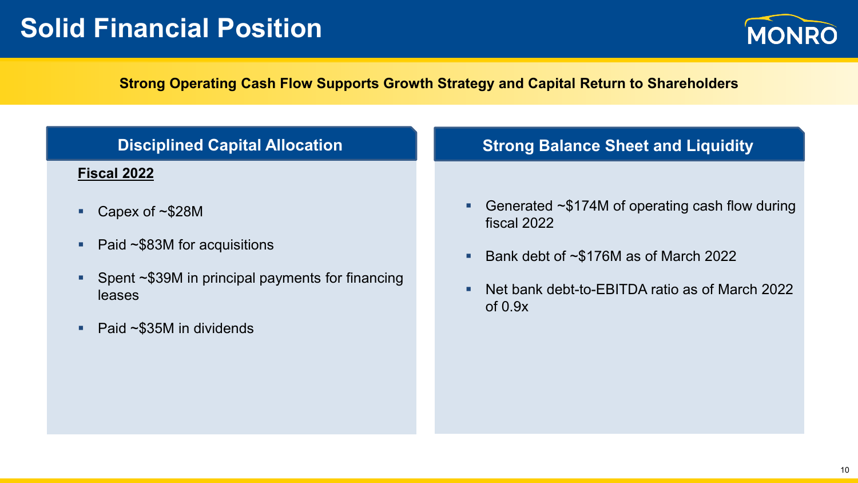# **Solid Financial Position**



### **Strong Operating Cash Flow Supports Growth Strategy and Capital Return to Shareholders**

| <b>Disciplined Capital Allocation</b>                      | <b>Strong Balance Sheet and Liquidity</b>                                 |  |  |  |
|------------------------------------------------------------|---------------------------------------------------------------------------|--|--|--|
| Fiscal 2022                                                |                                                                           |  |  |  |
| Capex of $\sim$ \$28M                                      | Generated $\sim$ \$174M of operating cash flow during<br>٠<br>fiscal 2022 |  |  |  |
| Paid $\sim$ \$83M for acquisitions                         | Bank debt of $\sim$ \$176M as of March 2022<br>п                          |  |  |  |
| Spent ~\$39M in principal payments for financing<br>leases | Net bank debt-to-EBITDA ratio as of March 2022<br>٠<br>of $0.9x$          |  |  |  |
| Paid $\sim$ \$35M in dividends                             |                                                                           |  |  |  |
|                                                            |                                                                           |  |  |  |
|                                                            |                                                                           |  |  |  |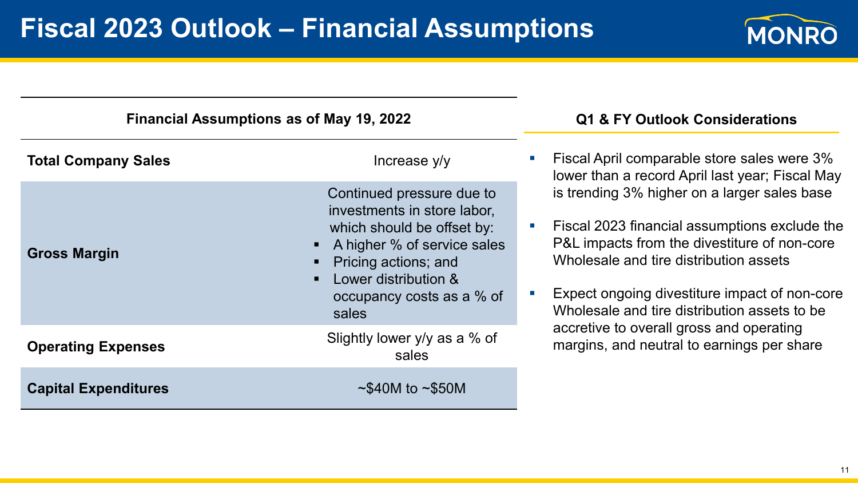

| <b>Financial Assumptions as of May 19, 2022</b> | Q1 & FY Outlook Considerations                                                                                                                                                                              |                                                                                                                                                                                                                                                                                                                         |  |
|-------------------------------------------------|-------------------------------------------------------------------------------------------------------------------------------------------------------------------------------------------------------------|-------------------------------------------------------------------------------------------------------------------------------------------------------------------------------------------------------------------------------------------------------------------------------------------------------------------------|--|
| <b>Total Company Sales</b>                      | Increase y/y                                                                                                                                                                                                | <b>Fiscal April comparable store sales were 3%</b><br>lower than a record April last year; Fiscal May                                                                                                                                                                                                                   |  |
| <b>Gross Margin</b>                             | Continued pressure due to<br>investments in store labor,<br>which should be offset by:<br>A higher % of service sales<br>Pricing actions; and<br>Lower distribution &<br>occupancy costs as a % of<br>sales | is trending 3% higher on a larger sales base<br>Fiscal 2023 financial assumptions exclude the<br>$\mathcal{C}^{\mathcal{A}}$<br>P&L impacts from the divestiture of non-core<br>Wholesale and tire distribution assets<br>Expect ongoing divestiture impact of non-core<br>Wholesale and tire distribution assets to be |  |
| <b>Operating Expenses</b>                       | Slightly lower y/y as a % of<br>sales                                                                                                                                                                       | accretive to overall gross and operating<br>margins, and neutral to earnings per share                                                                                                                                                                                                                                  |  |
| <b>Capital Expenditures</b>                     | $\sim$ \$40M to $\sim$ \$50M                                                                                                                                                                                |                                                                                                                                                                                                                                                                                                                         |  |